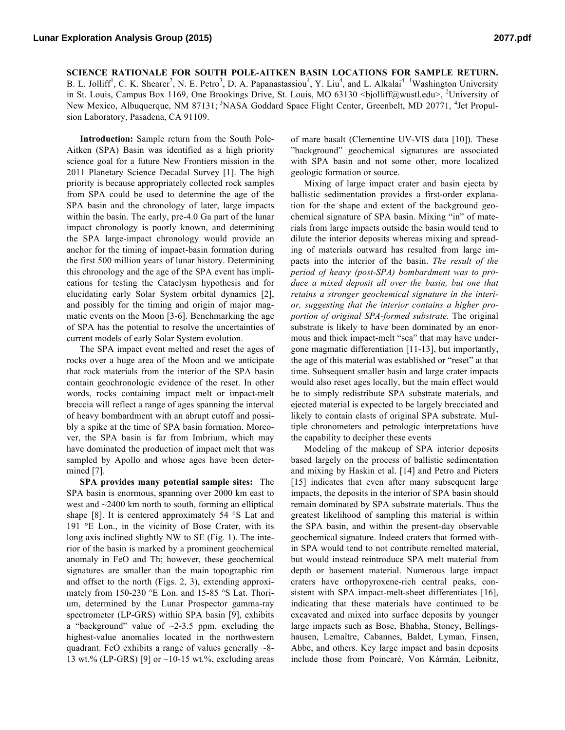**SCIENCE RATIONALE FOR SOUTH POLE-AITKEN BASIN LOCATIONS FOR SAMPLE RETURN.** B. L. Jolliff<sup>1</sup>, C. K. Shearer<sup>2</sup>, N. E. Petro<sup>3</sup>, D. A. Papanastassiou<sup>4</sup>, Y. Liu<sup>4</sup>, and L. Alkalai<sup>4</sup> <sup>1</sup>Washington University in St. Louis, Campus Box 1169, One Brookings Drive, St. Louis, MO 63130 <br/>  $\leq$ bjolliff@wustl.edu>, 2University of New Mexico, Albuquerque, NM 87131; <sup>3</sup>NASA Goddard Space Flight Center, Greenbelt, MD 20771, <sup>4</sup>Jet Propulsion Laboratory, Pasadena, CA 91109.

**Introduction:** Sample return from the South Pole-Aitken (SPA) Basin was identified as a high priority science goal for a future New Frontiers mission in the 2011 Planetary Science Decadal Survey [1]. The high priority is because appropriately collected rock samples from SPA could be used to determine the age of the SPA basin and the chronology of later, large impacts within the basin. The early, pre-4.0 Ga part of the lunar impact chronology is poorly known, and determining the SPA large-impact chronology would provide an anchor for the timing of impact-basin formation during the first 500 million years of lunar history. Determining this chronology and the age of the SPA event has implications for testing the Cataclysm hypothesis and for elucidating early Solar System orbital dynamics [2], and possibly for the timing and origin of major magmatic events on the Moon [3-6]. Benchmarking the age of SPA has the potential to resolve the uncertainties of current models of early Solar System evolution.

The SPA impact event melted and reset the ages of rocks over a huge area of the Moon and we anticipate that rock materials from the interior of the SPA basin contain geochronologic evidence of the reset. In other words, rocks containing impact melt or impact-melt breccia will reflect a range of ages spanning the interval of heavy bombardment with an abrupt cutoff and possibly a spike at the time of SPA basin formation. Moreover, the SPA basin is far from Imbrium, which may have dominated the production of impact melt that was sampled by Apollo and whose ages have been determined [7].

**SPA provides many potential sample sites:** The SPA basin is enormous, spanning over 2000 km east to west and ~2400 km north to south, forming an elliptical shape [8]. It is centered approximately 54 °S Lat and 191 °E Lon., in the vicinity of Bose Crater, with its long axis inclined slightly NW to SE (Fig. 1). The interior of the basin is marked by a prominent geochemical anomaly in FeO and Th; however, these geochemical signatures are smaller than the main topographic rim and offset to the north (Figs. 2, 3), extending approximately from 150-230 °E Lon. and 15-85 °S Lat. Thorium, determined by the Lunar Prospector gamma-ray spectrometer (LP-GRS) within SPA basin [9], exhibits a "background" value of  $\sim$ 2-3.5 ppm, excluding the highest-value anomalies located in the northwestern quadrant. FeO exhibits a range of values generally ~8- 13 wt.% (LP-GRS) [9] or  $\sim$ 10-15 wt.%, excluding areas of mare basalt (Clementine UV-VIS data [10]). These "background" geochemical signatures are associated with SPA basin and not some other, more localized geologic formation or source.

Mixing of large impact crater and basin ejecta by ballistic sedimentation provides a first-order explanation for the shape and extent of the background geochemical signature of SPA basin. Mixing "in" of materials from large impacts outside the basin would tend to dilute the interior deposits whereas mixing and spreading of materials outward has resulted from large impacts into the interior of the basin. *The result of the period of heavy (post-SPA) bombardment was to produce a mixed deposit all over the basin, but one that retains a stronger geochemical signature in the interior, suggesting that the interior contains a higher proportion of original SPA-formed substrate.* The original substrate is likely to have been dominated by an enormous and thick impact-melt "sea" that may have undergone magmatic differentiation [11-13], but importantly, the age of this material was established or "reset" at that time. Subsequent smaller basin and large crater impacts would also reset ages locally, but the main effect would be to simply redistribute SPA substrate materials, and ejected material is expected to be largely brecciated and likely to contain clasts of original SPA substrate. Multiple chronometers and petrologic interpretations have the capability to decipher these events

Modeling of the makeup of SPA interior deposits based largely on the process of ballistic sedimentation and mixing by Haskin et al. [14] and Petro and Pieters [15] indicates that even after many subsequent large impacts, the deposits in the interior of SPA basin should remain dominated by SPA substrate materials. Thus the greatest likelihood of sampling this material is within the SPA basin, and within the present-day observable geochemical signature. Indeed craters that formed within SPA would tend to not contribute remelted material, but would instead reintroduce SPA melt material from depth or basement material. Numerous large impact craters have orthopyroxene-rich central peaks, consistent with SPA impact-melt-sheet differentiates [16], indicating that these materials have continued to be excavated and mixed into surface deposits by younger large impacts such as Bose, Bhabha, Stoney, Bellingshausen, Lemaître, Cabannes, Baldet, Lyman, Finsen, Abbe, and others. Key large impact and basin deposits include those from Poincaré, Von Kármán, Leibnitz,